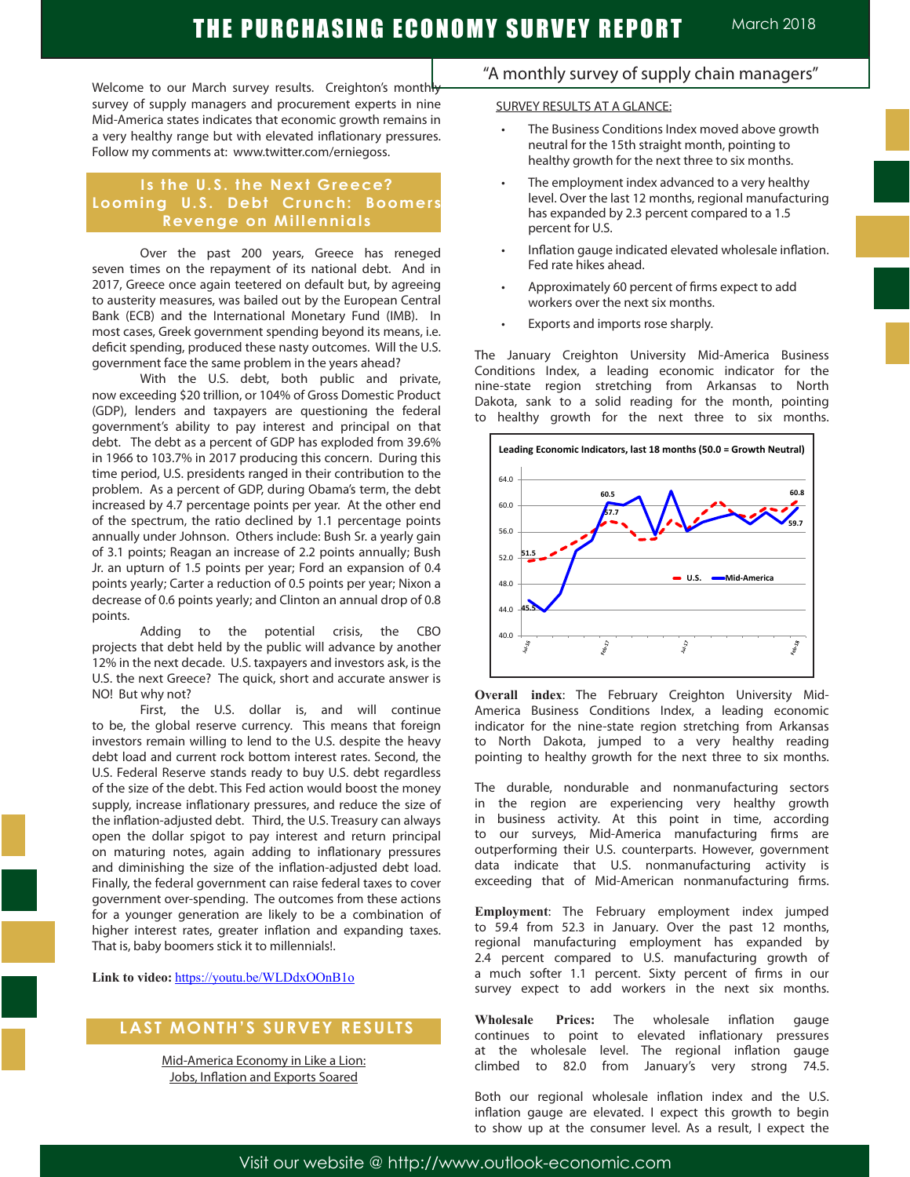Welcome to our March survey results. Creighton's monthly survey of supply managers and procurement experts in nine Mid-America states indicates that economic growth remains in a very healthy range but with elevated inflationary pressures. Follow my comments at: www.twitter.com/erniegoss.

## **Is the U.S. the Next Greece? Looming U.S. Debt Crunch: Boomers Revenge on Millennials**

Over the past 200 years, Greece has reneged seven times on the repayment of its national debt. And in 2017, Greece once again teetered on default but, by agreeing to austerity measures, was bailed out by the European Central Bank (ECB) and the International Monetary Fund (IMB). In most cases, Greek government spending beyond its means, i.e. deficit spending, produced these nasty outcomes. Will the U.S. government face the same problem in the years ahead?

With the U.S. debt, both public and private, now exceeding \$20 trillion, or 104% of Gross Domestic Product (GDP), lenders and taxpayers are questioning the federal government's ability to pay interest and principal on that debt. The debt as a percent of GDP has exploded from 39.6% in 1966 to 103.7% in 2017 producing this concern. During this time period, U.S. presidents ranged in their contribution to the problem. As a percent of GDP, during Obama's term, the debt increased by 4.7 percentage points per year. At the other end of the spectrum, the ratio declined by 1.1 percentage points annually under Johnson. Others include: Bush Sr. a yearly gain of 3.1 points; Reagan an increase of 2.2 points annually; Bush Jr. an upturn of 1.5 points per year; Ford an expansion of 0.4 points yearly; Carter a reduction of 0.5 points per year; Nixon a decrease of 0.6 points yearly; and Clinton an annual drop of 0.8 points.

Adding to the potential crisis, the CBO projects that debt held by the public will advance by another 12% in the next decade. U.S. taxpayers and investors ask, is the U.S. the next Greece? The quick, short and accurate answer is NO! But why not?

First, the U.S. dollar is, and will continue to be, the global reserve currency. This means that foreign investors remain willing to lend to the U.S. despite the heavy debt load and current rock bottom interest rates. Second, the U.S. Federal Reserve stands ready to buy U.S. debt regardless of the size of the debt. This Fed action would boost the money supply, increase inflationary pressures, and reduce the size of the inflation-adjusted debt. Third, the U.S. Treasury can always open the dollar spigot to pay interest and return principal on maturing notes, again adding to inflationary pressures and diminishing the size of the inflation-adjusted debt load. Finally, the federal government can raise federal taxes to cover government over-spending. The outcomes from these actions for a younger generation are likely to be a combination of higher interest rates, greater inflation and expanding taxes. That is, baby boomers stick it to millennials!.

**Link to video:** https://youtu.be/WLDdxOOnB1o

## **LAST MONTH'S SURVEY RESULTS**

Mid-America Economy in Like a Lion: Jobs, Inflation and Exports Soared

## "A monthly survey of supply chain managers"

#### SURVEY RESULTS AT A GLANCE:

- The Business Conditions Index moved above growth neutral for the 15th straight month, pointing to healthy growth for the next three to six months.
- The employment index advanced to a very healthy level. Over the last 12 months, regional manufacturing has expanded by 2.3 percent compared to a 1.5 percent for U.S.
- Inflation gauge indicated elevated wholesale inflation. Fed rate hikes ahead.
- Approximately 60 percent of firms expect to add workers over the next six months.
- Exports and imports rose sharply.

The January Creighton University Mid-America Business Conditions Index, a leading economic indicator for the nine-state region stretching from Arkansas to North Dakota, sank to a solid reading for the month, pointing to healthy growth for the next three to six months.



**Overall index**: The February Creighton University Mid-America Business Conditions Index, a leading economic indicator for the nine-state region stretching from Arkansas to North Dakota, jumped to a very healthy reading pointing to healthy growth for the next three to six months.

The durable, nondurable and nonmanufacturing sectors in the region are experiencing very healthy growth in business activity. At this point in time, according to our surveys, Mid-America manufacturing firms are outperforming their U.S. counterparts. However, government data indicate that U.S. nonmanufacturing activity is exceeding that of Mid-American nonmanufacturing firms.

**Employment**: The February employment index jumped to 59.4 from 52.3 in January. Over the past 12 months, regional manufacturing employment has expanded by 2.4 percent compared to U.S. manufacturing growth of a much softer 1.1 percent. Sixty percent of firms in our survey expect to add workers in the next six months.

**Wholesale Prices:** The wholesale inflation gauge continues to point to elevated inflationary pressures at the wholesale level. The regional inflation gauge climbed to 82.0 from January's very strong 74.5.

Both our regional wholesale inflation index and the U.S. inflation gauge are elevated. I expect this growth to begin to show up at the consumer level. As a result, I expect the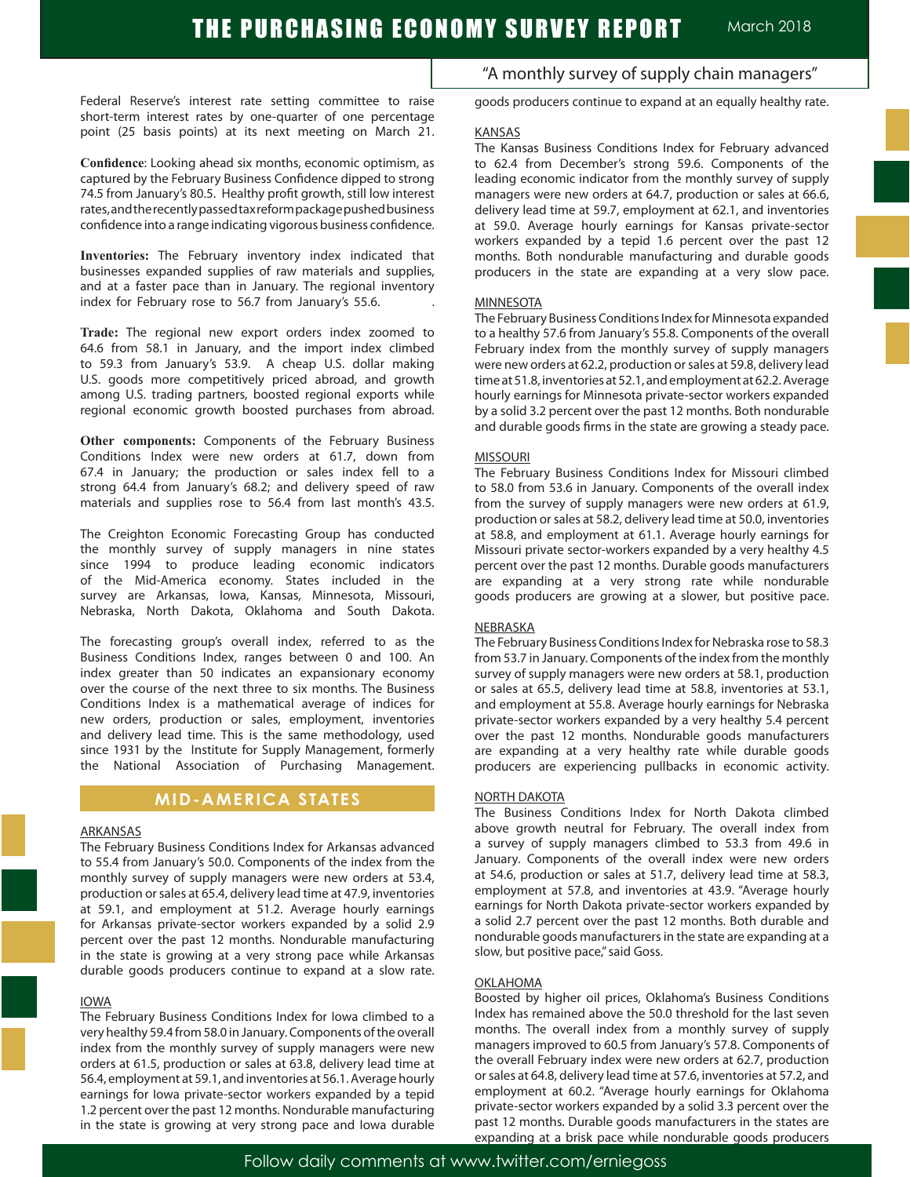Federal Reserve's interest rate setting committee to raise short-term interest rates by one-quarter of one percentage point (25 basis points) at its next meeting on March 21.

**Confidence**: Looking ahead six months, economic optimism, as captured by the February Business Confidence dipped to strong 74.5 from January's 80.5. Healthy profit growth, still low interest rates, and the recently passed tax reform package pushed business confidence into a range indicating vigorous business confidence.

**Inventories:** The February inventory index indicated that businesses expanded supplies of raw materials and supplies, and at a faster pace than in January. The regional inventory index for February rose to 56.7 from January's 55.6. .

**Trade:** The regional new export orders index zoomed to 64.6 from 58.1 in January, and the import index climbed to 59.3 from January's 53.9. A cheap U.S. dollar making U.S. goods more competitively priced abroad, and growth among U.S. trading partners, boosted regional exports while regional economic growth boosted purchases from abroad.

**Other components:** Components of the February Business Conditions Index were new orders at 61.7, down from 67.4 in January; the production or sales index fell to a strong 64.4 from January's 68.2; and delivery speed of raw materials and supplies rose to 56.4 from last month's 43.5.

The Creighton Economic Forecasting Group has conducted the monthly survey of supply managers in nine states since 1994 to produce leading economic indicators of the Mid-America economy. States included in the survey are Arkansas, Iowa, Kansas, Minnesota, Missouri, Nebraska, North Dakota, Oklahoma and South Dakota.

The forecasting group's overall index, referred to as the Business Conditions Index, ranges between 0 and 100. An index greater than 50 indicates an expansionary economy over the course of the next three to six months. The Business Conditions Index is a mathematical average of indices for new orders, production or sales, employment, inventories and delivery lead time. This is the same methodology, used since 1931 by the Institute for Supply Management, formerly the National Association of Purchasing Management.

#### **MID-AMERICA STATES**

#### ARKANSAS

The February Business Conditions Index for Arkansas advanced to 55.4 from January's 50.0. Components of the index from the monthly survey of supply managers were new orders at 53.4, production or sales at 65.4, delivery lead time at 47.9, inventories at 59.1, and employment at 51.2. Average hourly earnings for Arkansas private-sector workers expanded by a solid 2.9 percent over the past 12 months. Nondurable manufacturing in the state is growing at a very strong pace while Arkansas durable goods producers continue to expand at a slow rate.

#### IOWA

The February Business Conditions Index for Iowa climbed to a very healthy 59.4 from 58.0 in January. Components of the overall index from the monthly survey of supply managers were new orders at 61.5, production or sales at 63.8, delivery lead time at 56.4, employment at 59.1, and inventories at 56.1. Average hourly earnings for Iowa private-sector workers expanded by a tepid 1.2 percent over the past 12 months. Nondurable manufacturing in the state is growing at very strong pace and Iowa durable

"A monthly survey of supply chain managers"

goods producers continue to expand at an equally healthy rate.

#### KANSAS

The Kansas Business Conditions Index for February advanced to 62.4 from December's strong 59.6. Components of the leading economic indicator from the monthly survey of supply managers were new orders at 64.7, production or sales at 66.6, delivery lead time at 59.7, employment at 62.1, and inventories at 59.0. Average hourly earnings for Kansas private-sector workers expanded by a tepid 1.6 percent over the past 12 months. Both nondurable manufacturing and durable goods producers in the state are expanding at a very slow pace.

#### MINNESOTA

The February Business Conditions Index for Minnesota expanded to a healthy 57.6 from January's 55.8. Components of the overall February index from the monthly survey of supply managers were new orders at 62.2, production or sales at 59.8, delivery lead time at 51.8, inventories at 52.1, and employment at 62.2. Average hourly earnings for Minnesota private-sector workers expanded by a solid 3.2 percent over the past 12 months. Both nondurable and durable goods firms in the state are growing a steady pace.

#### MISSOURI

The February Business Conditions Index for Missouri climbed to 58.0 from 53.6 in January. Components of the overall index from the survey of supply managers were new orders at 61.9, production or sales at 58.2, delivery lead time at 50.0, inventories at 58.8, and employment at 61.1. Average hourly earnings for Missouri private sector-workers expanded by a very healthy 4.5 percent over the past 12 months. Durable goods manufacturers are expanding at a very strong rate while nondurable goods producers are growing at a slower, but positive pace.

#### NEBRASKA

The February Business Conditions Index for Nebraska rose to 58.3 from 53.7 in January. Components of the index from the monthly survey of supply managers were new orders at 58.1, production or sales at 65.5, delivery lead time at 58.8, inventories at 53.1, and employment at 55.8. Average hourly earnings for Nebraska private-sector workers expanded by a very healthy 5.4 percent over the past 12 months. Nondurable goods manufacturers are expanding at a very healthy rate while durable goods producers are experiencing pullbacks in economic activity.

#### NORTH DAKOTA

The Business Conditions Index for North Dakota climbed above growth neutral for February. The overall index from a survey of supply managers climbed to 53.3 from 49.6 in January. Components of the overall index were new orders at 54.6, production or sales at 51.7, delivery lead time at 58.3, employment at 57.8, and inventories at 43.9. "Average hourly earnings for North Dakota private-sector workers expanded by a solid 2.7 percent over the past 12 months. Both durable and nondurable goods manufacturers in the state are expanding at a slow, but positive pace," said Goss.

#### **OKLAHOMA**

Boosted by higher oil prices, Oklahoma's Business Conditions Index has remained above the 50.0 threshold for the last seven months. The overall index from a monthly survey of supply managers improved to 60.5 from January's 57.8. Components of the overall February index were new orders at 62.7, production or sales at 64.8, delivery lead time at 57.6, inventories at 57.2, and employment at 60.2. "Average hourly earnings for Oklahoma private-sector workers expanded by a solid 3.3 percent over the past 12 months. Durable goods manufacturers in the states are expanding at a brisk pace while nondurable goods producers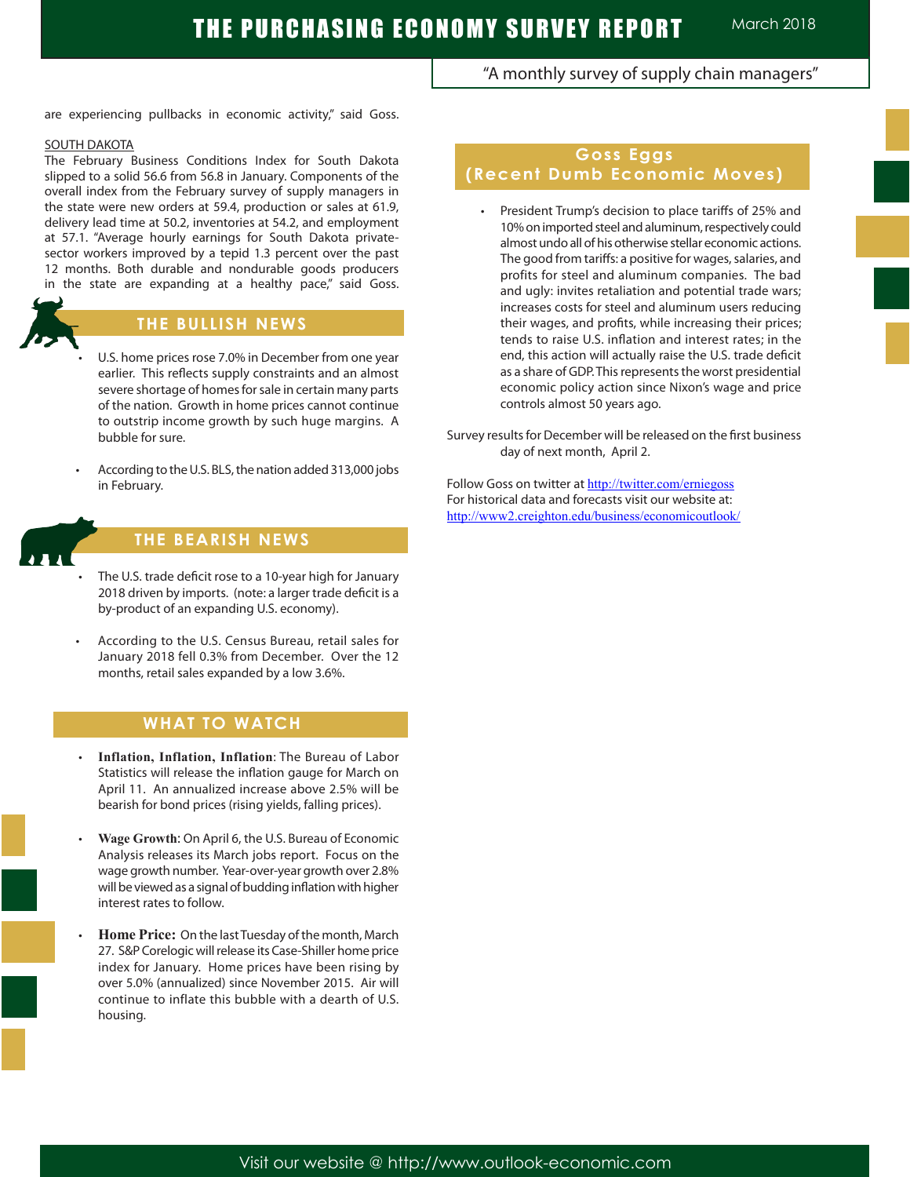"A monthly survey of supply chain managers"

are experiencing pullbacks in economic activity," said Goss.

#### SOUTH DAKOTA

The February Business Conditions Index for South Dakota slipped to a solid 56.6 from 56.8 in January. Components of the overall index from the February survey of supply managers in the state were new orders at 59.4, production or sales at 61.9, delivery lead time at 50.2, inventories at 54.2, and employment at 57.1. "Average hourly earnings for South Dakota privatesector workers improved by a tepid 1.3 percent over the past 12 months. Both durable and nondurable goods producers in the state are expanding at a healthy pace," said Goss.



# **THE BULLISH NEWS**

- U.S. home prices rose 7.0% in December from one year earlier. This reflects supply constraints and an almost severe shortage of homes for sale in certain many parts of the nation. Growth in home prices cannot continue to outstrip income growth by such huge margins. A bubble for sure.
- According to the U.S. BLS, the nation added 313,000 jobs in February.



# **THE BEARISH NEWS**

- The U.S. trade deficit rose to a 10-year high for January 2018 driven by imports. (note: a larger trade deficit is a by-product of an expanding U.S. economy).
- According to the U.S. Census Bureau, retail sales for January 2018 fell 0.3% from December. Over the 12 months, retail sales expanded by a low 3.6%.

# **WHAT TO WATCH**

- **Inflation, Inflation, Inflation: The Bureau of Labor** Statistics will release the inflation gauge for March on April 11. An annualized increase above 2.5% will be bearish for bond prices (rising yields, falling prices).
- **Wage Growth: On April 6, the U.S. Bureau of Economic** Analysis releases its March jobs report. Focus on the wage growth number. Year-over-year growth over 2.8% will be viewed as a signal of budding inflation with higher interest rates to follow.
- **Home Price:** On the last Tuesday of the month, March 27. S&P Corelogic will release its Case-Shiller home price index for January. Home prices have been rising by over 5.0% (annualized) since November 2015. Air will continue to inflate this bubble with a dearth of U.S. housing.

# **Goss Eggs (Recent Dumb Economic Moves)**

 • President Trump's decision to place tariffs of 25% and 10% on imported steel and aluminum, respectively could almost undo all of his otherwise stellar economic actions. The good from tariffs: a positive for wages, salaries, and profits for steel and aluminum companies. The bad and ugly: invites retaliation and potential trade wars; increases costs for steel and aluminum users reducing their wages, and profits, while increasing their prices; tends to raise U.S. inflation and interest rates; in the end, this action will actually raise the U.S. trade deficit as a share of GDP. This represents the worst presidential economic policy action since Nixon's wage and price controls almost 50 years ago.

Survey results for December will be released on the first business day of next month, April 2.

Follow Goss on twitter at http://twitter.com/erniegoss For historical data and forecasts visit our website at: http://www2.creighton.edu/business/economicoutlook/